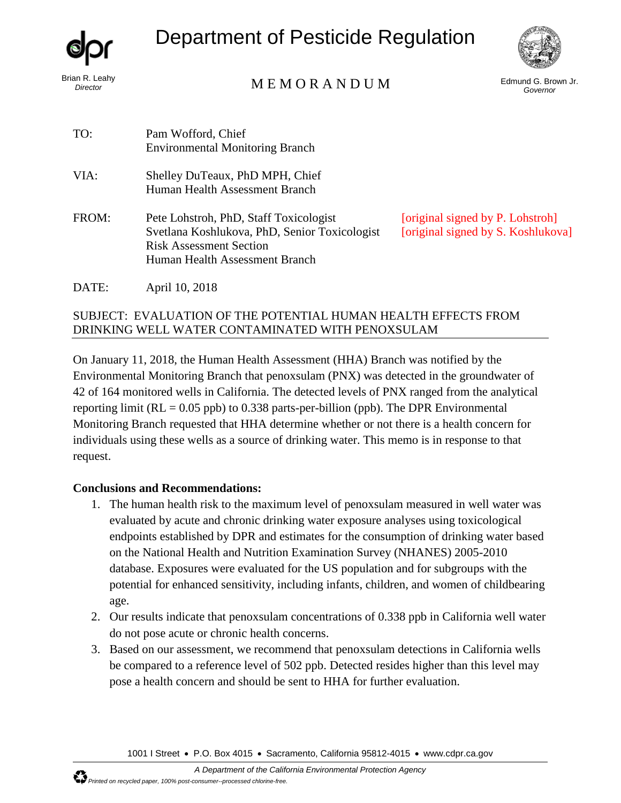

*Director* 

# Department of Pesticide Regulation

# Brian R. Leahy<br>Director M E M O R A N D U M

Edmund G. Brown Jr. *Governor* 

| TO:   | Pam Wofford, Chief<br><b>Environmental Monitoring Branch</b>                                                                                                |                                    |
|-------|-------------------------------------------------------------------------------------------------------------------------------------------------------------|------------------------------------|
| VIA:  | Shelley DuTeaux, PhD MPH, Chief<br>Human Health Assessment Branch                                                                                           |                                    |
| FROM: | Pete Lohstroh, PhD, Staff Toxicologist<br>Svetlana Koshlukova, PhD, Senior Toxicologist<br><b>Risk Assessment Section</b><br>Human Health Assessment Branch | <i>corigina</i><br><i>corigina</i> |

al signed by P. Lohstroh al signed by S. Koshlukova]

DATE: April 10, 2018

#### SUBJECT: EVALUATION OF THE POTENTIAL HUMAN HEALTH EFFECTS FROM DRINKING WELL WATER CONTAMINATED WITH PENOXSULAM

On January 11, 2018, the Human Health Assessment (HHA) Branch was notified by the Environmental Monitoring Branch that penoxsulam (PNX) was detected in the groundwater of 42 of 164 monitored wells in California. The detected levels of PNX ranged from the analytical reporting limit ( $RL = 0.05$  ppb) to 0.338 parts-per-billion (ppb). The DPR Environmental Monitoring Branch requested that HHA determine whether or not there is a health concern for individuals using these wells as a source of drinking water. This memo is in response to that request.

### **Conclusions and Recommendations:**

- 1. The human health risk to the maximum level of penoxsulam measured in well water was evaluated by acute and chronic drinking water exposure analyses using toxicological endpoints established by DPR and estimates for the consumption of drinking water based on the National Health and Nutrition Examination Survey (NHANES) 2005-2010 database. Exposures were evaluated for the US population and for subgroups with the potential for enhanced sensitivity, including infants, children, and women of childbearing age.
- 2. Our results indicate that penoxsulam concentrations of 0.338 ppb in California well water do not pose acute or chronic health concerns.
- 3. Based on our assessment, we recommend that penoxsulam detections in California wells be compared to a reference level of 502 ppb. Detected resides higher than this level may pose a health concern and should be sent to HHA for further evaluation.

1001 I Street • P.O. Box 4015 • Sacramento, California 95812-4015 • www.cdpr.ca.gov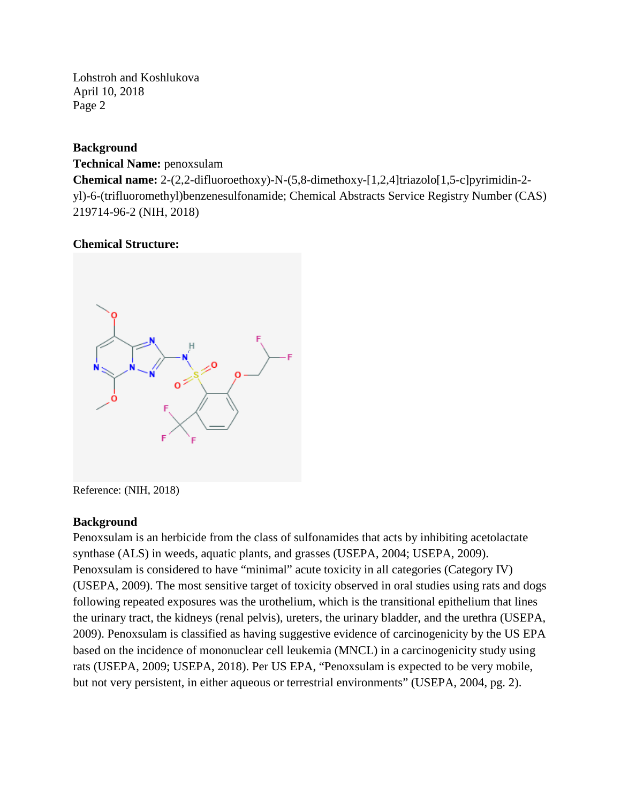#### **Background**

#### **Technical Name:** penoxsulam

**Chemical name:** 2-(2,2-difluoroethoxy)-N-(5,8-dimethoxy-[1,2,4]triazolo[1,5-c]pyrimidin-2 yl)-6-(trifluoromethyl)benzenesulfonamide; Chemical Abstracts Service Registry Number (CAS) 219714-96-2 (NIH, 2018)

#### **Chemical Structure:**



Reference: (NIH, 2018)

#### **Background**

Penoxsulam is an herbicide from the class of sulfonamides that acts by inhibiting acetolactate synthase (ALS) in weeds, aquatic plants, and grasses (USEPA, 2004; USEPA, 2009). Penoxsulam is considered to have "minimal" acute toxicity in all categories (Category IV) (USEPA, 2009). The most sensitive target of toxicity observed in oral studies using rats and dogs following repeated exposures was the urothelium, which is the transitional epithelium that lines the urinary tract, the kidneys (renal pelvis), ureters, the urinary bladder, and the urethra (USEPA, 2009). Penoxsulam is classified as having suggestive evidence of carcinogenicity by the US EPA based on the incidence of mononuclear cell leukemia (MNCL) in a carcinogenicity study using rats (USEPA, 2009; USEPA, 2018). Per US EPA, "Penoxsulam is expected to be very mobile, but not very persistent, in either aqueous or terrestrial environments" (USEPA, 2004, pg. 2).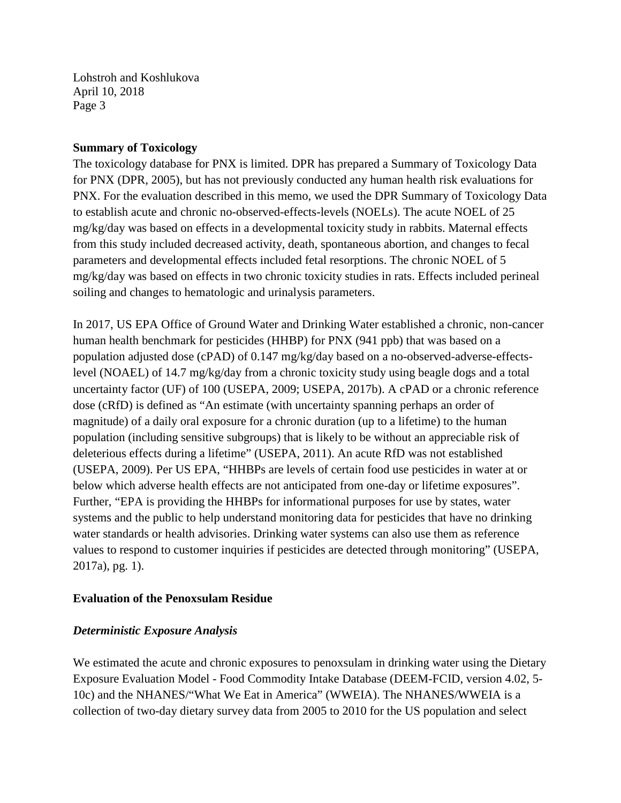#### **Summary of Toxicology**

The toxicology database for PNX is limited. DPR has prepared a Summary of Toxicology Data for PNX (DPR, 2005), but has not previously conducted any human health risk evaluations for PNX. For the evaluation described in this memo, we used the DPR Summary of Toxicology Data to establish acute and chronic no-observed-effects-levels (NOELs). The acute NOEL of 25 mg/kg/day was based on effects in a developmental toxicity study in rabbits. Maternal effects from this study included decreased activity, death, spontaneous abortion, and changes to fecal parameters and developmental effects included fetal resorptions. The chronic NOEL of 5 mg/kg/day was based on effects in two chronic toxicity studies in rats. Effects included perineal soiling and changes to hematologic and urinalysis parameters.

In 2017, US EPA Office of Ground Water and Drinking Water established a chronic, non-cancer human health benchmark for pesticides (HHBP) for PNX (941 ppb) that was based on a population adjusted dose (cPAD) of 0.147 mg/kg/day based on a no-observed-adverse-effectslevel (NOAEL) of 14.7 mg/kg/day from a chronic toxicity study using beagle dogs and a total uncertainty factor (UF) of 100 (USEPA, 2009; USEPA, 2017b). A cPAD or a chronic reference dose (cRfD) is defined as "An estimate (with uncertainty spanning perhaps an order of magnitude) of a daily oral exposure for a chronic duration (up to a lifetime) to the human population (including sensitive subgroups) that is likely to be without an appreciable risk of deleterious effects during a lifetime" (USEPA, 2011). An acute RfD was not established (USEPA, 2009). Per US EPA, "HHBPs are levels of certain food use pesticides in water at or below which adverse health effects are not anticipated from one-day or lifetime exposures". Further, "EPA is providing the HHBPs for informational purposes for use by states, water systems and the public to help understand monitoring data for pesticides that have no drinking water standards or health advisories. Drinking water systems can also use them as reference values to respond to customer inquiries if pesticides are detected through monitoring" (USEPA, 2017a), pg. 1).

#### **Evaluation of the Penoxsulam Residue**

#### *Deterministic Exposure Analysis*

We estimated the acute and chronic exposures to penoxialam in drinking water using the Dietary Exposure Evaluation Model - Food Commodity Intake Database (DEEM-FCID, version 4.02, 5- 10c) and the NHANES/"What We Eat in America" (WWEIA). The NHANES/WWEIA is a collection of two-day dietary survey data from 2005 to 2010 for the US population and select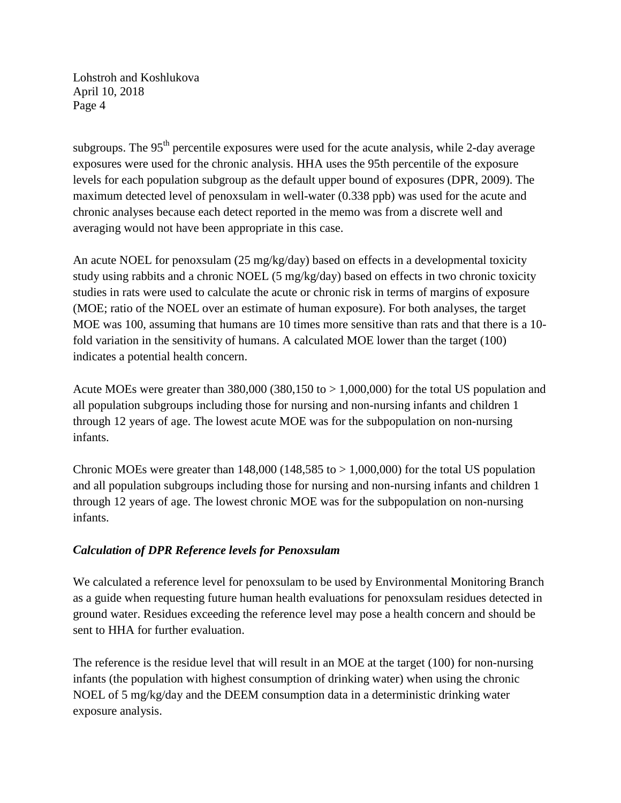subgroups. The  $95<sup>th</sup>$  percentile exposures were used for the acute analysis, while 2-day average exposures were used for the chronic analysis. HHA uses the 95th percentile of the exposure levels for each population subgroup as the default upper bound of exposures (DPR, 2009). The maximum detected level of penoxsulam in well-water (0.338 ppb) was used for the acute and chronic analyses because each detect reported in the memo was from a discrete well and averaging would not have been appropriate in this case.

An acute NOEL for penoxsulam (25 mg/kg/day) based on effects in a developmental toxicity study using rabbits and a chronic NOEL (5 mg/kg/day) based on effects in two chronic toxicity studies in rats were used to calculate the acute or chronic risk in terms of margins of exposure (MOE; ratio of the NOEL over an estimate of human exposure). For both analyses, the target MOE was 100, assuming that humans are 10 times more sensitive than rats and that there is a 10 fold variation in the sensitivity of humans. A calculated MOE lower than the target (100) indicates a potential health concern.

Acute MOEs were greater than  $380,000$  (380,150 to  $> 1,000,000$ ) for the total US population and all population subgroups including those for nursing and non-nursing infants and children 1 through 12 years of age. The lowest acute MOE was for the subpopulation on non-nursing infants.

Chronic MOEs were greater than  $148,000$  ( $148,585$  to  $> 1,000,000$ ) for the total US population and all population subgroups including those for nursing and non-nursing infants and children 1 through 12 years of age. The lowest chronic MOE was for the subpopulation on non-nursing infants.

#### *Calculation of DPR Reference levels for Penoxsulam*

We calculated a reference level for penoxsulam to be used by Environmental Monitoring Branch as a guide when requesting future human health evaluations for penoxsulam residues detected in ground water. Residues exceeding the reference level may pose a health concern and should be sent to HHA for further evaluation.

 NOEL of 5 mg/kg/day and the DEEM consumption data in a deterministic drinking water exposure analysis. The reference is the residue level that will result in an MOE at the target (100) for non-nursing infants (the population with highest consumption of drinking water) when using the chronic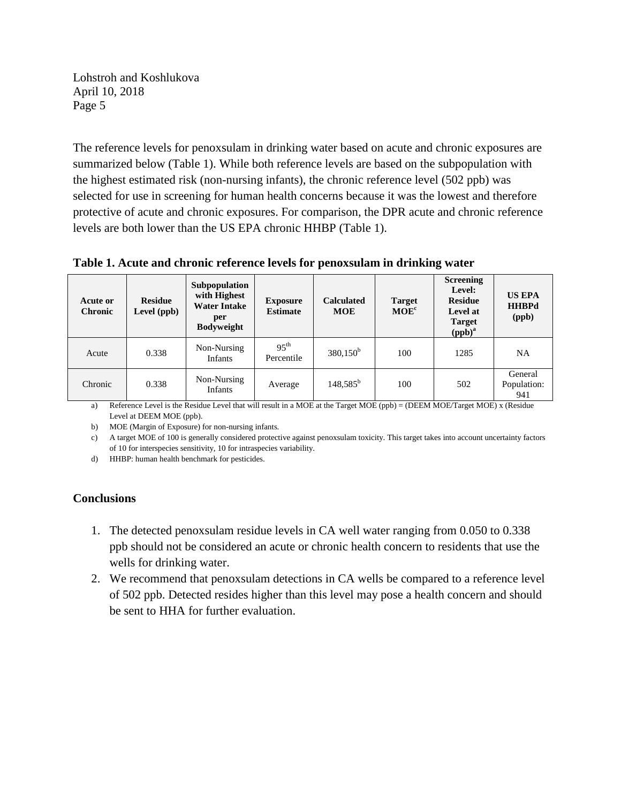protective of acute and chronic exposures. For comparison, the DPR acute and chronic reference The reference levels for penoxsulam in drinking water based on acute and chronic exposures are summarized below (Table 1). While both reference levels are based on the subpopulation with the highest estimated risk (non-nursing infants), the chronic reference level (502 ppb) was selected for use in screening for human health concerns because it was the lowest and therefore levels are both lower than the US EPA chronic HHBP (Table 1).

**Table 1. Acute and chronic reference levels for penoxsulam in drinking water** 

| Acute or<br><b>Chronic</b> | <b>Residue</b><br>Level (ppb) | Subpopulation<br>with Highest<br><b>Water Intake</b><br>per<br><b>Bodyweight</b> | <b>Exposure</b><br><b>Estimate</b> | <b>Calculated</b><br><b>MOE</b> | <b>Target</b><br>MOE <sup>c</sup> | <b>Screening</b><br>Level:<br><b>Residue</b><br>Level at<br><b>Target</b><br>$(ppb)^a$ | <b>US EPA</b><br><b>HHBPd</b><br>(ppb) |
|----------------------------|-------------------------------|----------------------------------------------------------------------------------|------------------------------------|---------------------------------|-----------------------------------|----------------------------------------------------------------------------------------|----------------------------------------|
| Acute                      | 0.338                         | Non-Nursing<br>Infants                                                           | $95^{\text{th}}$<br>Percentile     | $380,150^b$                     | 100                               | 1285                                                                                   | <b>NA</b>                              |
| Chronic                    | 0.338                         | Non-Nursing<br>Infants                                                           | Average                            | $148,585^{\rm b}$               | 100                               | 502                                                                                    | General<br>Population:<br>941          |

a) Reference Level is the Residue Level that will result in a MOE at the Target MOE (ppb) = (DEEM MOE/Target MOE) x (Residue Level at DEEM MOE (ppb).

b) MOE (Margin of Exposure) for non-nursing infants.

c) A target MOE of 100 is generally considered protective against penoxsulam toxicity. This target takes into account uncertainty factors of 10 for interspecies sensitivity, 10 for intraspecies variability.

d) HHBP: human health benchmark for pesticides.

#### **Conclusions**

- 1. The detected penoxsulam residue levels in CA well water ranging from 0.050 to 0.338 ppb should not be considered an acute or chronic health concern to residents that use the wells for drinking water.
- 2. We recommend that penoxsulam detections in CA wells be compared to a reference level of 502 ppb. Detected resides higher than this level may pose a health concern and should be sent to HHA for further evaluation.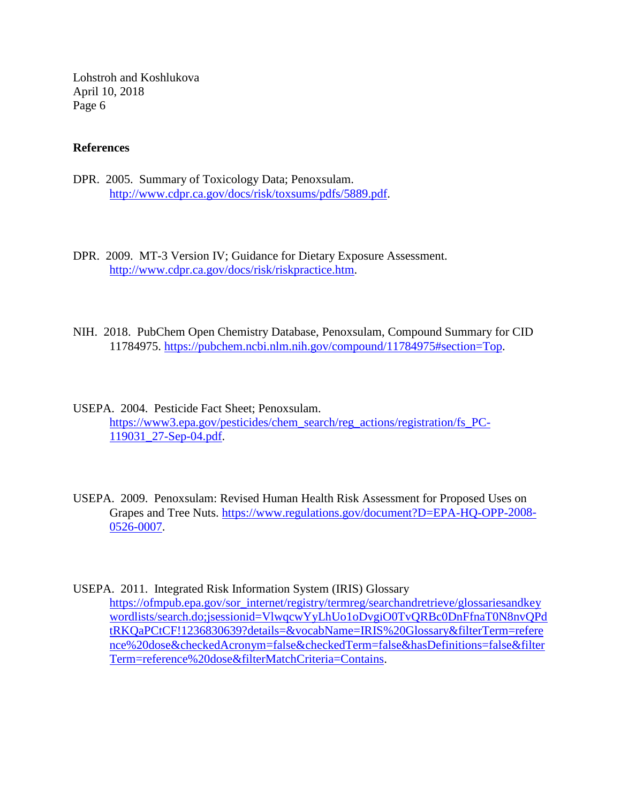#### **References**

- DPR. 2005. Summary of Toxicology Data; Penoxsulam. [http://www.cdpr.ca.gov/docs/risk/toxsums/pdfs/5889.pdf.](http://www.cdpr.ca.gov/docs/risk/toxsums/pdfs/5889.pdf)
- DPR. 2009. MT-3 Version IV; Guidance for Dietary Exposure Assessment. [http://www.cdpr.ca.gov/docs/risk/riskpractice.htm.](http://www.cdpr.ca.gov/docs/risk/riskpractice.htm)
- NIH. 2018. PubChem Open Chemistry Database, Penoxsulam, Compound Summary for CID 11784975. [https://pubchem.ncbi.nlm.nih.gov/compound/11784975#section=Top.](https://pubchem.ncbi.nlm.nih.gov/compound/11784975#section=Top)
- USEPA. 2004. Pesticide Fact Sheet; Penoxsulam. [https://www3.epa.gov/pesticides/chem\\_search/reg\\_actions/registration/fs\\_PC-](https://www3.epa.gov/pesticides/chem_search/reg_actions/registration/fs_PC-119031_27-Sep-04.pdf)[119031\\_27-Sep-04.pdf.](https://www3.epa.gov/pesticides/chem_search/reg_actions/registration/fs_PC-119031_27-Sep-04.pdf)
- USEPA. 2009. Penoxsulam: Revised Human Health Risk Assessment for Proposed Uses on Grapes and Tree Nuts. [https://www.regulations.gov/document?D=EPA-HQ-OPP-2008-](https://www.regulations.gov/document?D=EPA-HQ-OPP-2008-0526-0007) [0526-0007.](https://www.regulations.gov/document?D=EPA-HQ-OPP-2008-0526-0007)
- USEPA. 2011. Integrated Risk Information System (IRIS) Glossary [https://ofmpub.epa.gov/sor\\_internet/registry/termreg/searchandretrieve/glossariesandkey](https://ofmpub.epa.gov/sor_internet/registry/termreg/searchandretrieve/glossariesandkeywordlists/search.do;jsessionid=VlwqcwYyLhUo1oDvgiO0TvQRBc0DnFfnaT0N8nvQPdtRKQaPCtCF!1236830639?details=&vocabName=IRIS%20Glossary&filterTerm=reference%20dose&checkedAcronym=false&checkedTerm=false&hasDefinitions=false&filterTerm=reference%20dose&filterMatchCriteria=Contains)  [wordlists/search.do;jsessionid=VlwqcwYyLhUo1oDvgiO0TvQRBc0DnFfnaT0N8nvQPd](https://ofmpub.epa.gov/sor_internet/registry/termreg/searchandretrieve/glossariesandkeywordlists/search.do;jsessionid=VlwqcwYyLhUo1oDvgiO0TvQRBc0DnFfnaT0N8nvQPdtRKQaPCtCF!1236830639?details=&vocabName=IRIS%20Glossary&filterTerm=reference%20dose&checkedAcronym=false&checkedTerm=false&hasDefinitions=false&filterTerm=reference%20dose&filterMatchCriteria=Contains)  [tRKQaPCtCF!1236830639?details=&vocabName=IRIS%20Glossary&filterTerm=refere](https://ofmpub.epa.gov/sor_internet/registry/termreg/searchandretrieve/glossariesandkeywordlists/search.do;jsessionid=VlwqcwYyLhUo1oDvgiO0TvQRBc0DnFfnaT0N8nvQPdtRKQaPCtCF!1236830639?details=&vocabName=IRIS%20Glossary&filterTerm=reference%20dose&checkedAcronym=false&checkedTerm=false&hasDefinitions=false&filterTerm=reference%20dose&filterMatchCriteria=Contains)  [nce%20dose&checkedAcronym=false&checkedTerm=false&hasDefinitions=false&filter](https://ofmpub.epa.gov/sor_internet/registry/termreg/searchandretrieve/glossariesandkeywordlists/search.do;jsessionid=VlwqcwYyLhUo1oDvgiO0TvQRBc0DnFfnaT0N8nvQPdtRKQaPCtCF!1236830639?details=&vocabName=IRIS%20Glossary&filterTerm=reference%20dose&checkedAcronym=false&checkedTerm=false&hasDefinitions=false&filterTerm=reference%20dose&filterMatchCriteria=Contains)  [Term=reference%20dose&filterMatchCriteria=Contains.](https://ofmpub.epa.gov/sor_internet/registry/termreg/searchandretrieve/glossariesandkeywordlists/search.do;jsessionid=VlwqcwYyLhUo1oDvgiO0TvQRBc0DnFfnaT0N8nvQPdtRKQaPCtCF!1236830639?details=&vocabName=IRIS%20Glossary&filterTerm=reference%20dose&checkedAcronym=false&checkedTerm=false&hasDefinitions=false&filterTerm=reference%20dose&filterMatchCriteria=Contains)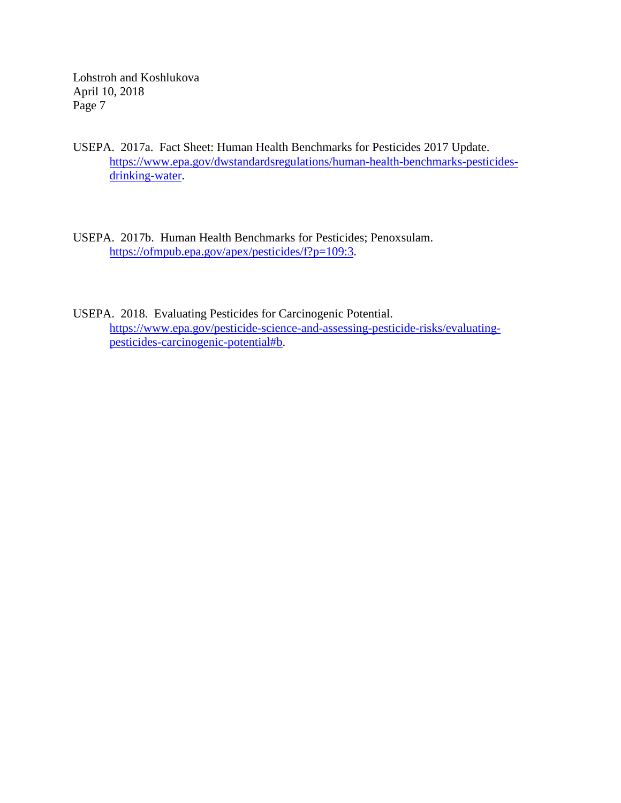- USEPA. 2017a. Fact Sheet: Human Health Benchmarks for Pesticides 2017 Update. [https://www.epa.gov/dwstandardsregulations/human-health-benchmarks-pesticides](https://www.epa.gov/dwstandardsregulations/human-health-benchmarks-pesticides-drinking-water)[drinking-water.](https://www.epa.gov/dwstandardsregulations/human-health-benchmarks-pesticides-drinking-water)
- USEPA. 2017b. Human Health Benchmarks for Pesticides; Penoxsulam. [https://ofmpub.epa.gov/apex/pesticides/f?p=109:3.](https://ofmpub.epa.gov/apex/pesticides/f?p=109:3)
- USEPA. 2018. Evaluating Pesticides for Carcinogenic Potential. [https://www.epa.gov/pesticide-science-and-assessing-pesticide-risks/evaluating](https://www.epa.gov/pesticide-science-and-assessing-pesticide-risks/evaluating-pesticides-carcinogenic-potential#b)[pesticides-carcinogenic-potential#b.](https://www.epa.gov/pesticide-science-and-assessing-pesticide-risks/evaluating-pesticides-carcinogenic-potential#b)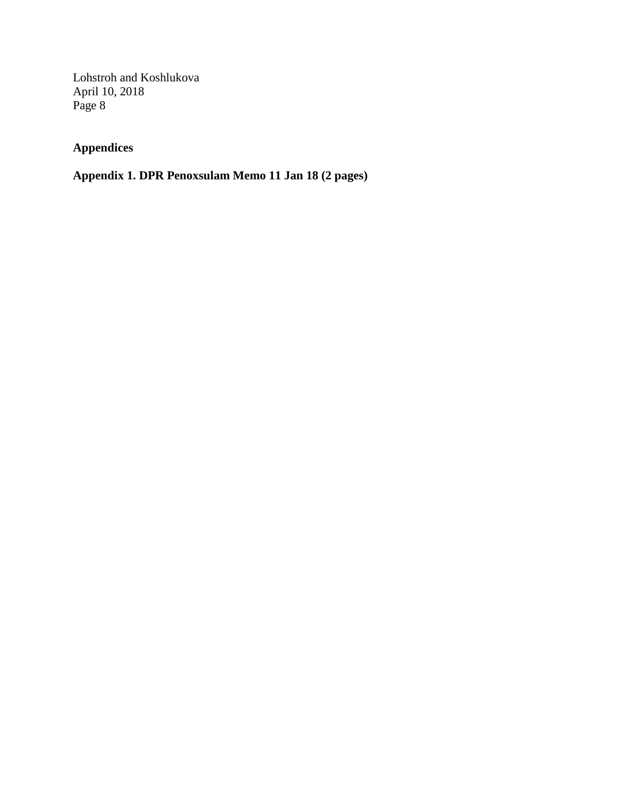# **Appendices**

## **Appendix 1. DPR Penoxsulam Memo 11 Jan 18 (2 pages)**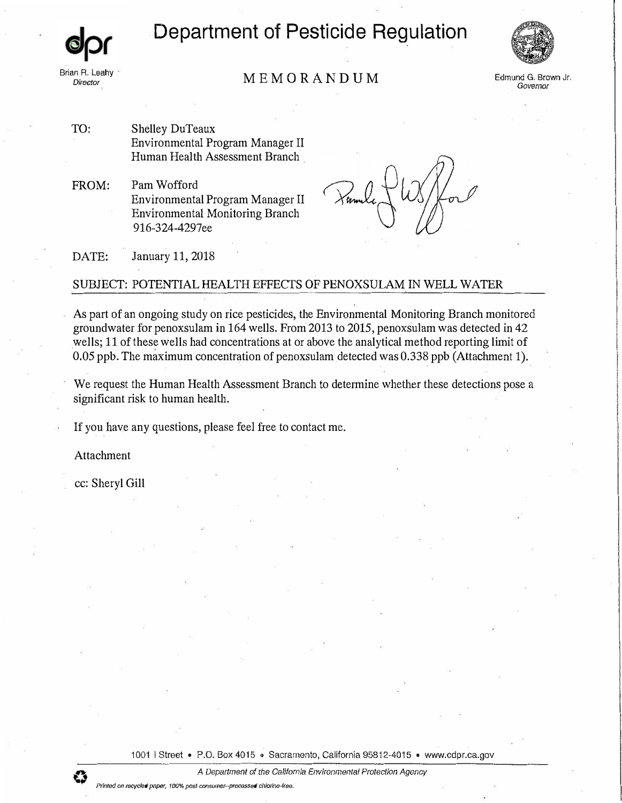# **Department of Pesticide Regulation**



## MEMORANDUM Brian R. Leahy *Director* **Edmund G. Brown Jr.**

*Governor* 

TO: Shelley DuTeaux Environmental Program Manager II Human Health Assessment Branch

FROM: Pam Wofford Environmental Program Manager II Environmental Monitoring Branch 916-324-4297ee

DATE: January 11, 2018

#### SUBJECT: POTENTIAL HEALTH EFFECTS OF PENOXSULAM IN WELL WATER

As part of an ongoing study on rice pesticides, the Environmental Monitoring Branch monitored groundwater for penoxsulam in 164 wells. From 2013 to 2015, penoxsulam was detected in 42 wells; 11 of these wells had concentrations at or above the analytical method reporting limit of 0.05 ppb. The maximum concentration of penoxsulam detected was 0.338 ppb (Attachment 1).

We request the Human Health Assessment Branch to determine whether these detections pose a significant risk to human health.

If you have any questions, please feel free to contact me.

Attachment

cc: Sheryl Gill

1001 | Street . P.O. Box 4015 . Sacramento, California 95812-4015 . www.cdpr.ca.gov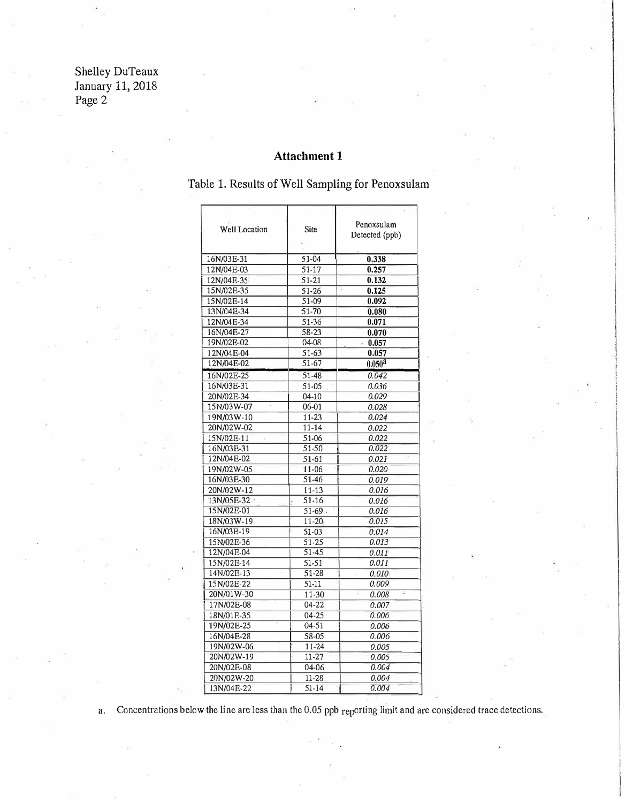Shelley DuTeaux January 11, 2018 Page 2

### **Attachment 1**

Table 1. Results of Well Sampling for Penoxsulam

| Well Location | Site      | Penoxsulam<br>Detected (ppb) |
|---------------|-----------|------------------------------|
| 16N/03E-31    | 51-04     | 0.338                        |
| 12N/04E-03    | 51-17     | 0.257                        |
| 12N/04E-35    | 51-21     | 0.132                        |
| 15N/02E-35    | 51-26     | 0.125                        |
| 15N/02E-14    | 51-09     | 0.092                        |
| 13N/04B-34    | $51-70$   | 0.080                        |
| 12N/04E-34    | 51-36     | 0.071                        |
| 16N/04E-27    | 58-23     | 0.070                        |
| 19N/02E-02    | 04-08     | $-0.057$                     |
| 12N/04E-04    | 51-63     | 0.057                        |
| 12N/04E-02    | 51-67     | $0.050^{2}$                  |
| 16N/02E-25    | 51-48     | 0.042                        |
| 16N/03E-31    | 51-05     | 0.036                        |
| 20N/02E-34    | $04 - 10$ | 0.029                        |
| 15N/03W-07    | 06-01     | 0.028                        |
| 19N/03W-10    | 11-23     | 0.024                        |
| 20N/02W-02    | $11 - 14$ | 0.022                        |
| 15N/02E-11    | 51-06     | 0.022                        |
| 16N/03E-31    | 51-50     | 0.022                        |
| 12N/04E-02    | 51-61     | 0.021                        |
| 19N/02W-05    | $11 - 06$ | 0.020                        |
| 16N/03E-30    | 51-46     | 0.019                        |
| 20N/02W-12    | 11-13     | 0.016                        |
| 13N/05E-32    | 51-16     | 0.016                        |
| 15N/02E-01    | $51 - 69$ | 0.016                        |
| 18N/03W-19    | 11-20     | 0.015                        |
| 16N/03E-19    | 51-03     | 0.014                        |
| 15N/02E-36    | 51-25     | 0.013                        |
| 12N/04E-04    | 51-45     | 0.011                        |
| 15N/02E-14    | 51-51     | 0.011                        |
| 14N/02E-13    | 51-28     | 0.010                        |
| 15N/02E-22    | 51-11     | 0.009                        |
| 20N/01W-30    | $11 - 30$ | ç<br>0.008                   |
| 17N/02E-08    | 04-22     | 0.007                        |
| 18N/01E-35    | 04-25     | 0.006                        |
| 19N/02E-25    | $04-51$   | 0.006                        |
| 16N/04E-28    | 58-05     | 0.006                        |
| 19N/02W-06    | 11-24     | 0.005                        |
| 20N/02W-19    | 11-27     | 0.005                        |
| 20N/02E-08    | 04-06     | 0.004                        |
| 20N/02W-20    | 11-28     | 0.004                        |
| 13N/04E-22    | 51-14     | 0.004                        |

a. Concentrations below the line are less than the 0.05 ppb reporting limit and are considered trace detections.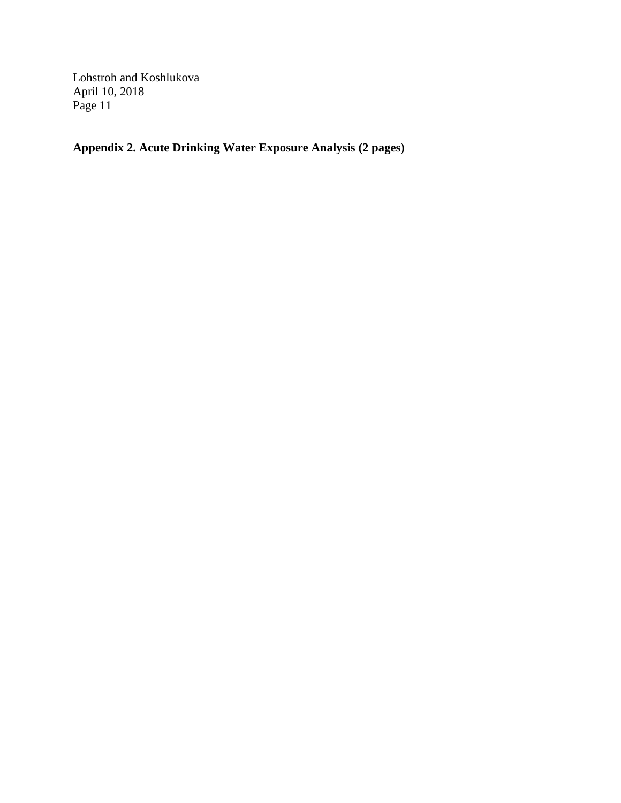**Appendix 2. Acute Drinking Water Exposure Analysis (2 pages)**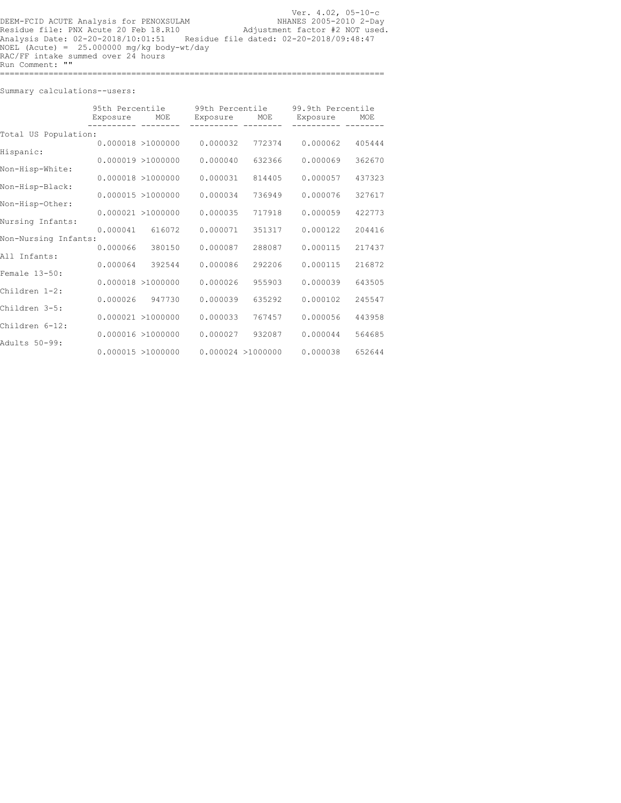Ver. 4.02, 05-10-c NHANES 2005-2010 2-Day Adjustment factor #2 NOT used. Residue file dated: 02-20-2018/09:48:47 DEEM-FCID ACUTE Analysis for PENOXSULAM Residue file: PNX Acute 20 Feb 18.R10 Analysis Date: 02-20-2018/10:01:51 NOEL (Acute) = 25.000000 mg/kg body-wt/day RAC/FF intake summed over 24 hours Run Comment: "" ===============================================================================

Summary calculations--users:

|                      | 95th Percentile<br>Exposure | 99th Percentile<br>MOE<br>Exposure<br>MOE |          |                    | 99.9th Percentile<br>Exposure | MOE    |  |  |
|----------------------|-----------------------------|-------------------------------------------|----------|--------------------|-------------------------------|--------|--|--|
| Total US Population: |                             |                                           |          |                    |                               |        |  |  |
| Hispanic:            |                             | $0.000018$ >1000000                       | 0.000032 | 772374             | 0.000062                      | 405444 |  |  |
|                      |                             | $0.000019$ >1000000                       | 0.000040 | 632366             | 0.000069                      | 362670 |  |  |
| Non-Hisp-White:      |                             | $0.000018$ >1000000                       | 0.000031 | 814405             | 0.000057                      | 437323 |  |  |
| Non-Hisp-Black:      |                             | 0.000015 > 1000000                        | 0.000034 | 736949             | 0.000076                      | 327617 |  |  |
| Non-Hisp-Other:      |                             | 0.000021 > 1000000                        | 0.000035 | 717918             | 0.000059                      | 422773 |  |  |
| Nursing Infants:     |                             |                                           |          |                    |                               |        |  |  |
| Non-Nursing Infants: | 0.000041                    | 616072                                    | 0.000071 | 351317             | 0.000122                      | 204416 |  |  |
|                      | 0.000066                    | 380150                                    | 0.000087 | 288087             | 0.000115                      | 217437 |  |  |
| All Infants:         | 0.000064                    | 392544                                    | 0.000086 | 292206             | 0.000115                      | 216872 |  |  |
| Female 13-50:        |                             | $0.000018$ >1000000                       | 0.000026 | 955903             | 0.000039                      | 643505 |  |  |
| Children 1-2:        |                             |                                           |          |                    |                               |        |  |  |
| Children 3-5:        | 0.000026                    | 947730                                    | 0.000039 | 635292             | 0.000102                      | 245547 |  |  |
|                      |                             | $0.000021$ >1000000                       | 0.000033 | 767457             | 0.000056                      | 443958 |  |  |
| Children 6-12:       |                             | 0.000016 > 1000000                        | 0.000027 | 932087             | 0.000044                      | 564685 |  |  |
| Adults 50-99:        |                             | 0.000015 > 1000000                        |          | 0.000024 > 1000000 | 0.000038                      | 652644 |  |  |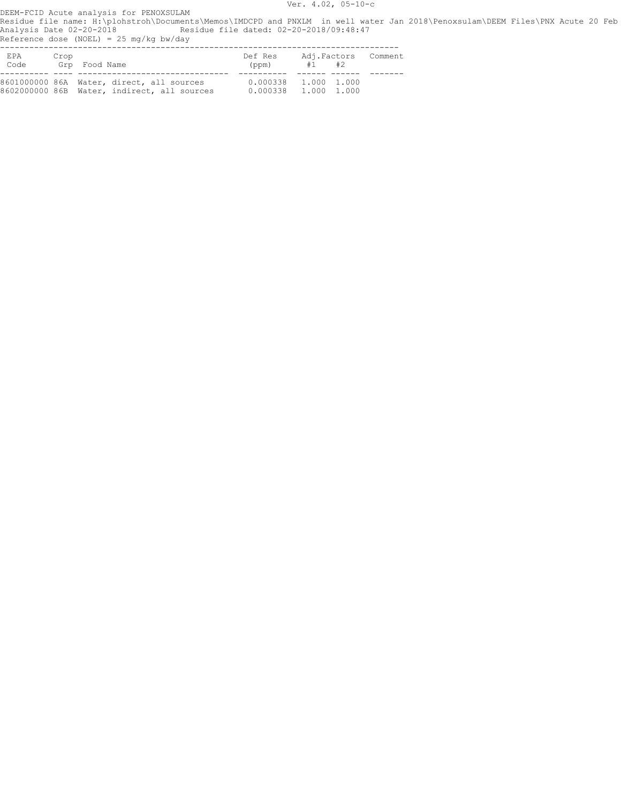Ver. 4.02, 05-10-c

DEEM-FCID Acute analysis for PENOXSULAM Residue file name: H:\plohstroh\Documents\Memos\IMDCPD and PNXLM in well water Jan 2018\Penoxsulam\DEEM Files\PNX Acute 20 Feb Analysis Date 02-20-2018 Residue file dated: 02-20-2018/09:48:47

Reference dose (NOEL) = 25 mg/kg bw/day

| EPA<br>Code <sup>.</sup> | Crop | Grp Food Name                                                                            | Def Res<br>(ppm)                               | #1 #2 | Adi.Factors Comment |
|--------------------------|------|------------------------------------------------------------------------------------------|------------------------------------------------|-------|---------------------|
|                          |      | 8601000000 86A Water, direct, all sources<br>8602000000 86B Water, indirect, all sources | $0.000338$ 1.000 1.000<br>0.000338 1.000 1.000 |       |                     |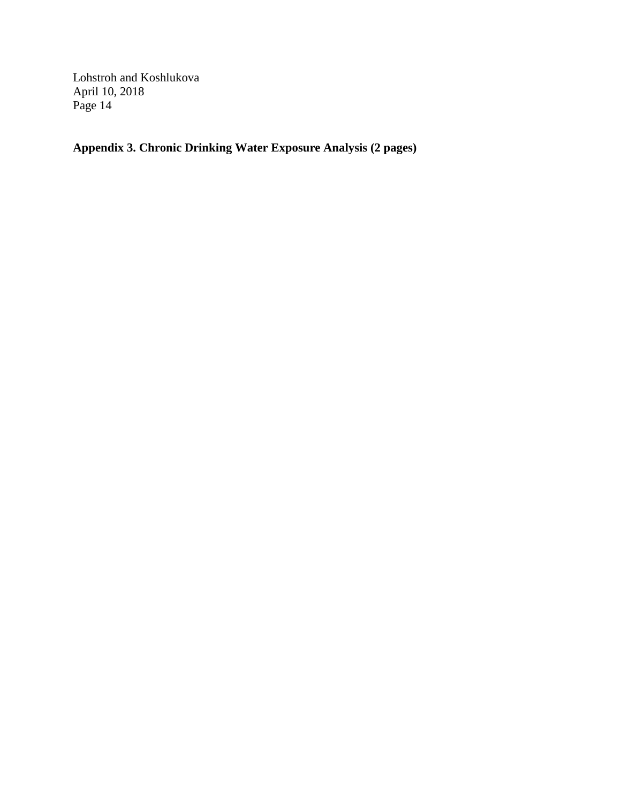**Appendix 3. Chronic Drinking Water Exposure Analysis (2 pages)**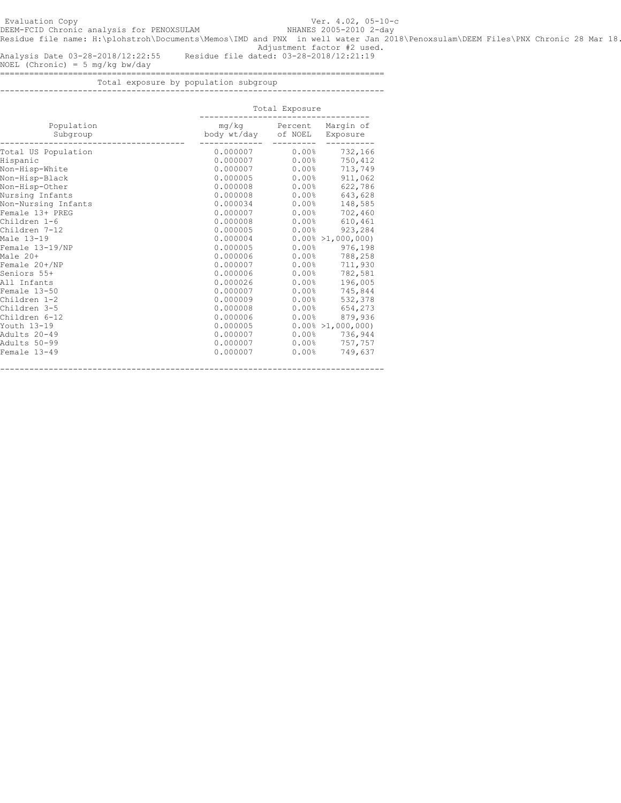DEEM-FCID Chronic analysis for PENOXSULAM NHANES 2005-2010 2-day Residue file name: H:\plohstroh\Documents\Memos\IMD and PNX in well water Jan 2018\Penoxsulam\DEEM Files\PNX Chronic 28 Mar 18 .Adjustment factor #2 used.

Analysis Date 03-28-2018/12:22:55 Residue file dated: 03-28-2018/12:21:19

NO EL (Chronic) = 5 mg/kg bw/day

===============================================================================

Total exposure by population subgroup -<br>---------------------------

|                        | Total Exposure               |                     |                       |  |  |
|------------------------|------------------------------|---------------------|-----------------------|--|--|
| Population<br>Subgroup | mg/kg<br>body wt/day of NOEL | Percent             | Marqin of<br>Exposure |  |  |
| Total US Population    | 0.000007                     | $0.00\%$            | 732,166               |  |  |
| Hispanic               | 0.000007                     | 0.00%               | 750,412               |  |  |
| Non-Hisp-White         | 0.000007                     | 0.00%               | 713,749               |  |  |
| Non-Hisp-Black         | 0.000005                     | $0.00\%$            | 911,062               |  |  |
| Non-Hisp-Other         | 0.000008                     | 0.00%               | 622,786               |  |  |
| Nursing Infants        | 0.000008                     | $0.00$ %            | 643,628               |  |  |
| Non-Nursing Infants    | 0.000034                     | $0.00$ %            | 148,585               |  |  |
| Female 13+ PREG        | 0.000007                     | $0.00\%$            | 702,460               |  |  |
| Children 1-6           | 0.000008                     | $0.00\%$            | 610,461               |  |  |
| Children 7-12          | 0.000005                     | $0.00\%$            | 923,284               |  |  |
| Male 13-19             | 0.000004                     |                     | $0.00\% > 1,000,000$  |  |  |
| Female 13-19/NP        | 0.000005                     | $0.00\%$            | 976,198               |  |  |
| Male 20+               | 0.000006                     | $0.00\%$            | 788,258               |  |  |
| Female 20+/NP          | 0.000007                     | 0.00%               | 711,930               |  |  |
| Seniors 55+            | 0.000006                     | 0.00%               | 782,581               |  |  |
| All Infants            | 0.000026                     | $0.00\%$            | 196,005               |  |  |
| Female 13-50           | 0.000007                     | $0.00$ %            | 745,844               |  |  |
| Children 1-2           | 0.000009                     | $0.00\%$            | 532,378               |  |  |
| Children 3-5           | 0.000008                     | $0.00\%$            | 654,273               |  |  |
| Children 6-12          | 0.000006                     | $0.00\%$            | 879,936               |  |  |
| Youth 13-19            | 0.000005                     |                     | $0.00\% > 1,000,000$  |  |  |
| Adults 20-49           | 0.000007                     | $0.00\%$            | 736,944               |  |  |
| Adults 50-99           | 0.000007                     | $0.00\%$            | 757,757               |  |  |
| Female 13-49           | 0.000007                     | $0.00$ <sup>8</sup> | 749,637               |  |  |

-------------------------------------------------------------------------------